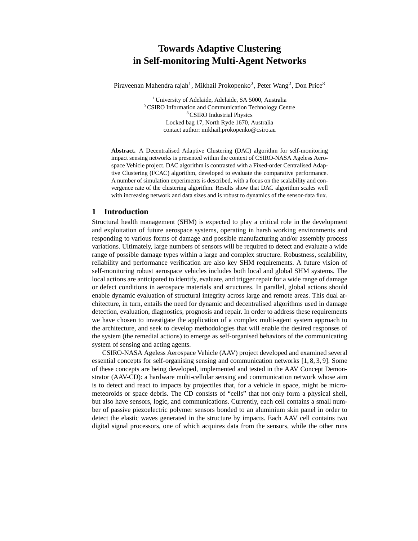# **Towards Adaptive Clustering in Self-monitoring Multi-Agent Networks**

Piraveenan Mahendra rajah<sup>1</sup>, Mikhail Prokopenko<sup>2</sup>, Peter Wang<sup>2</sup>, Don Price

<sup>1</sup>University of Adelaide, Adelaide, SA 5000, Australia <sup>2</sup>CSIRO Information and Communication Technology Centre <sup>3</sup>CSIRO Industrial Physics Locked bag 17, North Ryde 1670, Australia contact author: mikhail.prokopenko@csiro.au

**Abstract.** A Decentralised Adaptive Clustering (DAC) algorithm for self-monitoring impact sensing networks is presented within the context of CSIRO-NASA Ageless Aerospace Vehicle project. DAC algorithm is contrasted with a Fixed-order Centralised Adaptive Clustering (FCAC) algorithm, developed to evaluate the comparative performance. A number of simulation experiments is described, with a focus on the scalability and convergence rate of the clustering algorithm. Results show that DAC algorithm scales well with increasing network and data sizes and is robust to dynamics of the sensor-data flux.

## **1 Introduction**

Structural health management (SHM) is expected to play a critical role in the development and exploitation of future aerospace systems, operating in harsh working environments and responding to various forms of damage and possible manufacturing and/or assembly process variations. Ultimately, large numbers of sensors will be required to detect and evaluate a wide range of possible damage types within a large and complex structure. Robustness, scalability, reliability and performance verification are also key SHM requirements. A future vision of self-monitoring robust aerospace vehicles includes both local and global SHM systems. The local actions are anticipated to identify, evaluate, and trigger repair for a wide range of damage or defect conditions in aerospace materials and structures. In parallel, global actions should enable dynamic evaluation of structural integrity across large and remote areas. This dual architecture, in turn, entails the need for dynamic and decentralised algorithms used in damage detection, evaluation, diagnostics, prognosis and repair. In order to address these requirements we have chosen to investigate the application of a complex multi-agent system approach to the architecture, and seek to develop methodologies that will enable the desired responses of the system (the remedial actions) to emerge as self-organised behaviors of the communicating system of sensing and acting agents.

CSIRO-NASA Ageless Aerospace Vehicle (AAV) project developed and examined several essential concepts for self-organising sensing and communication networks [1, 8, 3, 9]. Some of these concepts are being developed, implemented and tested in the AAV Concept Demonstrator (AAV-CD): a hardware multi-cellular sensing and communication network whose aim is to detect and react to impacts by projectiles that, for a vehicle in space, might be micrometeoroids or space debris. The CD consists of "cells" that not only form a physical shell, but also have sensors, logic, and communications. Currently, each cell contains a small number of passive piezoelectric polymer sensors bonded to an aluminium skin panel in order to detect the elastic waves generated in the structure by impacts. Each AAV cell contains two digital signal processors, one of which acquires data from the sensors, while the other runs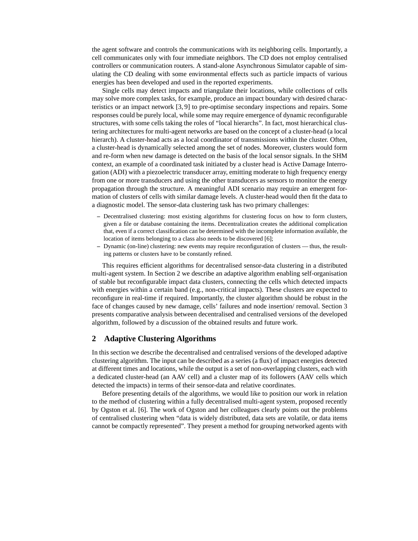the agent software and controls the communications with its neighboring cells. Importantly, a cell communicates only with four immediate neighbors. The CD does not employ centralised controllers or communication routers. A stand-alone Asynchronous Simulator capable of simulating the CD dealing with some environmental effects such as particle impacts of various energies has been developed and used in the reported experiments.

Single cells may detect impacts and triangulate their locations, while collections of cells may solve more complex tasks, for example, produce an impact boundary with desired characteristics or an impact network [3, 9] to pre-optimise secondary inspections and repairs. Some responses could be purely local, while some may require emergence of dynamic reconfigurable structures, with some cells taking the roles of "local hierarchs". In fact, most hierarchical clustering architectures for multi-agent networks are based on the concept of a cluster-head (a local hierarch). A cluster-head acts as a local coordinator of transmissions within the cluster. Often, a cluster-head is dynamically selected among the set of nodes. Moreover, clusters would form and re-form when new damage is detected on the basis of the local sensor signals. In the SHM context, an example of a coordinated task initiated by a cluster head is Active Damage Interrogation (ADI) with a piezoelectric transducer array, emitting moderate to high frequency energy from one or more transducers and using the other transducers as sensors to monitor the energy propagation through the structure. A meaningful ADI scenario may require an emergent formation of clusters of cells with similar damage levels. A cluster-head would then fit the data to a diagnostic model. The sensor-data clustering task has two primary challenges:

- **–** Decentralised clustering: most existing algorithms for clustering focus on how to form clusters, given a file or database containing the items. Decentralization creates the additional complication that, even if a correct classification can be determined with the incomplete information available, the location of items belonging to a class also needs to be discovered [6];
- **–** Dynamic (on-line) clustering: new events may require reconfiguration of clusters thus, the resulting patterns or clusters have to be constantly refined.

This requires efficient algorithms for decentralised sensor-data clustering in a distributed multi-agent system. In Section 2 we describe an adaptive algorithm enabling self-organisation of stable but reconfigurable impact data clusters, connecting the cells which detected impacts with energies within a certain band (e.g., non-critical impacts). These clusters are expected to reconfigure in real-time if required. Importantly, the cluster algorithm should be robust in the face of changes caused by new damage, cells' failures and node insertion/ removal. Section 3 presents comparative analysis between decentralised and centralised versions of the developed algorithm, followed by a discussion of the obtained results and future work.

## **2 Adaptive Clustering Algorithms**

In this section we describe the decentralised and centralised versions of the developed adaptive clustering algorithm. The input can be described as a series (a flux) of impact energies detected at different times and locations, while the output is a set of non-overlapping clusters, each with a dedicated cluster-head (an AAV cell) and a cluster map of its followers (AAV cells which detected the impacts) in terms of their sensor-data and relative coordinates.

Before presenting details of the algorithms, we would like to position our work in relation to the method of clustering within a fully decentralised multi-agent system, proposed recently by Ogston et al. [6]. The work of Ogston and her colleagues clearly points out the problems of centralised clustering when "data is widely distributed, data sets are volatile, or data items cannot be compactly represented". They present a method for grouping networked agents with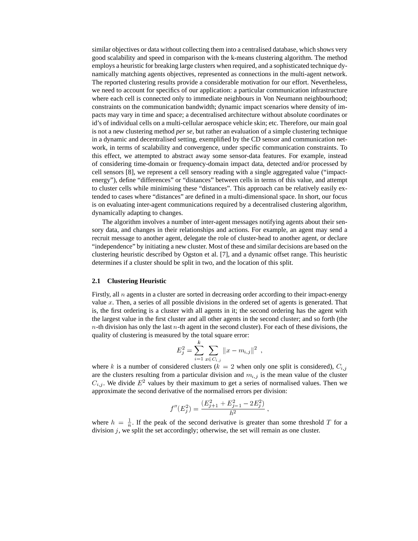similar objectives or data without collecting them into a centralised database, which shows very good scalability and speed in comparison with the k-means clustering algorithm. The method employs a heuristic for breaking large clusters when required, and a sophisticated technique dynamically matching agents objectives, represented as connections in the multi-agent network. The reported clustering results provide a considerable motivation for our effort. Nevertheless, we need to account for specifics of our application: a particular communication infrastructure where each cell is connected only to immediate neighbours in Von Neumann neighbourhood; constraints on the communication bandwidth; dynamic impact scenarios where density of impacts may vary in time and space; a decentralised architecture without absolute coordinates or id's of individual cells on a multi-cellular aerospace vehicle skin; etc. Therefore, our main goal is not a new clustering method *per se*, but rather an evaluation of a simple clustering technique in a dynamic and decentralised setting, exemplified by the CD sensor and communication network, in terms of scalability and convergence, under specific communication constraints. To this effect, we attempted to abstract away some sensor-data features. For example, instead of considering time-domain or frequency-domain impact data, detected and/or processed by cell sensors [8], we represent a cell sensory reading with a single aggregated value ("impactenergy"), define "differences" or "distances" between cells in terms of this value, and attempt to cluster cells while minimising these "distances". This approach can be relatively easily extended to cases where "distances" are defined in a multi-dimensional space. In short, our focus is on evaluating inter-agent communications required by a decentralised clustering algorithm, dynamically adapting to changes.

The algorithm involves a number of inter-agent messages notifying agents about their sensory data, and changes in their relationships and actions. For example, an agent may send a recruit message to another agent, delegate the role of cluster-head to another agent, or declare "independence" by initiating a new cluster. Most of these and similar decisions are based on the clustering heuristic described by Ogston et al. [7], and a dynamic offset range. This heuristic determines if a cluster should be split in two, and the location of this split.

#### **2.1 Clustering Heuristic**

Firstly, all  $n$  agents in a cluster are sorted in decreasing order according to their impact-energy value  $x$ . Then, a series of all possible divisions in the ordered set of agents is generated. That is, the first ordering is a cluster with all agents in it; the second ordering has the agent with the largest value in the first cluster and all other agents in the second cluster; and so forth (the  $n$ -th division has only the last  $n$ -th agent in the second cluster). For each of these divisions, the quality of clustering is measured by the total square error:

$$
E_j^2 = \sum_{i=1}^k \sum_{x \in C_{i,j}} ||x - m_{i,j}||^2 ,
$$

 

where k is a number of considered clusters ( $k = 2$  when only one split is considered),  $C_{i,j}$ are the clusters resulting from a particular division and  $m_{i,j}$  is the mean value of the cluster  $C_{i,j}$ . We divide  $E^2$  values by their maximum to get a series of normalised values. Then we approximate the second derivative of the normalised errors per division:

$$
f''(E_j^2) = \frac{(E_{j+1}^2 + E_{j-1}^2 - 2E_j^2)}{h^2},
$$

where  $h = \frac{1}{n}$ . If the peak of the second derivative is greater than some threshold T for a division  $\hat{j}$ , we split the set accordingly; otherwise, the set will remain as one cluster.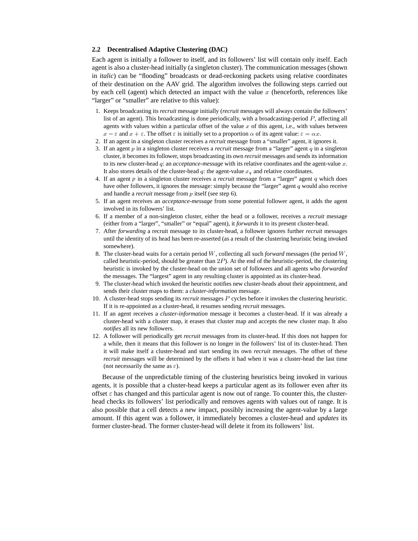#### **2.2 Decentralised Adaptive Clustering (DAC)**

Each agent is initially a follower to itself, and its followers' list will contain only itself. Each agent is also a cluster-head initially (a singleton cluster). The communication messages (shown in *italic*) can be "flooding" broadcasts or dead-reckoning packets using relative coordinates of their destination on the AAV grid. The algorithm involves the following steps carried out by each cell (agent) which detected an impact with the value  $x$  (henceforth, references like "larger" or "smaller" are relative to this value):

- 1. Keeps broadcasting its *recruit* message initially (*recruit* messages will always contain the followers' list of an agent). This broadcasting is done periodically, with a broadcasting-period  $P$ , affecting all agents with values within a particular offset of the value  $x$  of this agent, i.e., with values between  $x - \varepsilon$  and  $x + \varepsilon$ . The offset  $\varepsilon$  is initially set to a proportion  $\alpha$  of its agent value:  $\varepsilon = \alpha x$ .
- 2. If an agent in a singleton cluster receives a *recruit* message from a "smaller" agent, it ignores it.
- 3. If an agent  $p$  in a singleton cluster receives a *recruit* message from a "larger" agent  $q$  in a singleton cluster, it becomes its follower, stops broadcasting its own *recruit* messages and sends its information to its new cluster-head  $q$ : an *acceptance-message* with its relative coordinates and the agent-value  $x$ . It also stores details of the cluster-head q: the agent-value  $x_a$  and relative coordinates.
- 4. If an agent  $p$  in a singleton cluster receives a *recruit* message from a "larger" agent  $q$  which does have other followers, it ignores the message: simply because the "larger" agent  $q$  would also receive and handle a *recruit* message from p itself (see step 6).
- 5. If an agent receives an *acceptance-message* from some potential follower agent, it adds the agent involved in its followers' list.
- 6. If a member of a non-singleton cluster, either the head or a follower, receives a *recruit* message (either from a "larger", "smaller" or "equal" agent), it *forwards* it to its present cluster-head.
- 7. After *forwarding* a recruit message to its cluster-head, a follower ignores further *recruit* messages until the identity of its head has been re-asserted (as a result of the clustering heuristic being invoked somewhere).
- 8. The cluster-head waits for a certain period W, collecting all such *forward* messages (the period W, called heuristic-period, should be greater than  $2P$ ). At the end of the heuristic-period, the clustering heuristic is invoked by the cluster-head on the union set of followers and all agents who *forwarded* the messages. The "largest" agent in any resulting cluster is appointed as its cluster-head.
- 9. The cluster-head which invoked the heuristic notifies new cluster-heads about their appointment, and sends their cluster maps to them: a *cluster-information* message.
- 10. A cluster-head stops sending its *recruit* messages <sup>7</sup> cycles before it invokes the clustering heuristic. If it is re-appointed as a cluster-head, it resumes sending *recruit* messages.
- 11. If an agent receives a *cluster-information* message it becomes a cluster-head. If it was already a cluster-head with a cluster map, it erases that cluster map and accepts the new cluster map. It also *notifies* all its new followers.
- 12. A follower will periodically get *recruit* messages from its cluster-head. If this does not happen for a while, then it means that this follower is no longer in the followers' list of its cluster-head. Then it will make itself a cluster-head and start sending its own *recruit* messages. The offset of these *recruit* messages will be determined by the offsets it had when it was a cluster-head the last time (not necessarily the same as  $\varepsilon$ ).

Because of the unpredictable timing of the clustering heuristics being invoked in various agents, it is possible that a cluster-head keeps a particular agent as its follower even after its offset  $\varepsilon$  has changed and this particular agent is now out of range. To counter this, the clusterhead checks its followers' list periodically and removes agents with values out of range. It is also possible that a cell detects a new impact, possibly increasing the agent-value by a large amount. If this agent was a follower, it immediately becomes a cluster-head and *updates* its former cluster-head. The former cluster-head will delete it from its followers' list.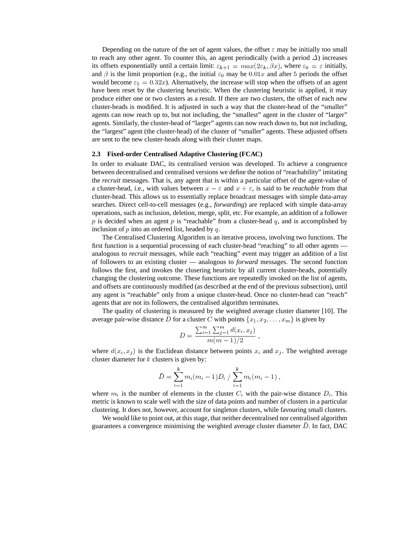Depending on the nature of the set of agent values, the offset  $\varepsilon$  may be initially too small to reach any other agent. To counter this, an agent periodically (with a period  $\Delta$ ) increases its offsets exponentially until a certain limit:  $\varepsilon_{k+1} = max(2\varepsilon_k, \beta x)$ , where  $\varepsilon_0 = \varepsilon$  initially, and  $\beta$  is the limit proportion (e.g., the initial  $\varepsilon_0$  may be  $0.01x$  and after 5 periods the offset would become  $\varepsilon_5 = 0.32x$ . Alternatively, the increase will stop when the offsets of an agent have been reset by the clustering heuristic. When the clustering heuristic is applied, it may produce either one or two clusters as a result. If there are two clusters, the offset of each new cluster-heads is modified. It is adjusted in such a way that the cluster-head of the "smaller" agents can now reach up to, but not including, the "smallest" agent in the cluster of "larger" agents. Similarly, the cluster-head of "larger" agents can now reach down to, but not including, the "largest" agent (the cluster-head) of the cluster of "smaller" agents. These adjusted offsets are sent to the new cluster-heads along with their cluster maps.

#### **2.3 Fixed-order Centralised Adaptive Clustering (FCAC)**

In order to evaluate DAC, its centralised version was developed. To achieve a congruence between decentralised and centralised versions we define the notion of "reachability" imitating the *recruit* messages. That is, any agent that is within a particular offset of the agent-value of a cluster-head, i.e., with values between  $x - \varepsilon$  and  $x + \varepsilon$ , is said to be *reachable* from that cluster-head. This allows us to essentially replace broadcast messages with simple data-array searches. Direct cell-to-cell messages (e.g., *forwarding*) are replaced with simple data-array operations, such as inclusion, deletion, merge, split, etc. For example, an addition of a follower p is decided when an agent p is "reachable" from a cluster-head q, and is accomplished by inclusion of  $p$  into an ordered list, headed by  $q$ .

The Centralised Clustering Algorithm is an iterative process, involving two functions. The first function is a sequential processing of each cluster-head "reaching" to all other agents analogous to *recruit* messages, while each "reaching" event may trigger an addition of a list of followers to an existing cluster — analogous to *forward* messages. The second function follows the first, and invokes the clusering heuristic by all current cluster-heads, potentially changing the clustering outcome. These functions are repeatedly invoked on the list of agents, and offsets are continuously modified (as described at the end of the previous subsection), until any agent is "reachable" only from a unique cluster-head. Once no cluster-head can "reach" agents that are not its followers, the centralised algorithm terminates.

The quality of clustering is measured by the weighted average cluster diameter [10]. The average pair-wise distance  $D$  for a cluster  $C$  with points  $\{x_1, x_2, \dots, x_m\}$  is given by<br> $\sum_{i=1}^m \sum_{j=1}^m d(x_i, x_j)$ 

$$
D = \frac{\sum_{i=1}^{m} \sum_{j=1}^{m} d(x_i, x_j)}{m(m-1)/2} ,
$$

where  $d(x_i, x_j)$  is the Euclidean distance between points  $x_i$  and  $x_j$ . The weighted average cluster diameter for  $k$  clusters is given by:

$$
\bar{D} = \sum_{i=1}^{k} m_i (m_i - 1) D_i / \sum_{i=1}^{k} m_i (m_i - 1) ,
$$

where  $m_i$  is the number of elements in the cluster  $C_i$  with the pair-wise distance  $D_i$ . This metric is known to scale well with the size of data points and number of clusters in a particular clustering. It does not, however, account for singleton clusters, while favouring small clusters.

We would like to point out, at this stage, that neither decentralised nor centralised algorithm guarantees a convergence minimising the weighted average cluster diameter  $\bar{D}$ . In fact, DAC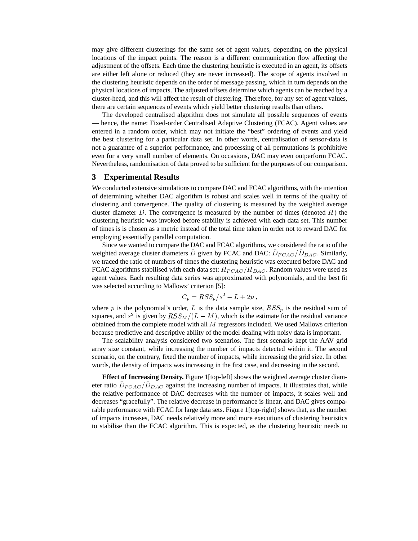may give different clusterings for the same set of agent values, depending on the physical locations of the impact points. The reason is a different communication flow affecting the adjustment of the offsets. Each time the clustering heuristic is executed in an agent, its offsets are either left alone or reduced (they are never increased). The scope of agents involved in the clustering heuristic depends on the order of message passing, which in turn depends on the physical locations of impacts. The adjusted offsets determine which agents can be reached by a cluster-head, and this will affect the result of clustering. Therefore, for any set of agent values, there are certain sequences of events which yield better clustering results than others.

The developed centralised algorithm does not simulate all possible sequences of events — hence, the name: Fixed-order Centralised Adaptive Clustering (FCAC). Agent values are entered in a random order, which may not initiate the "best" ordering of events and yield the best clustering for a particular data set. In other words, centralisation of sensor-data is not a guarantee of a superior performance, and processing of all permutations is prohibitive even for a very small number of elements. On occasions, DAC may even outperform FCAC. Nevertheless, randomisation of data proved to be sufficient for the purposes of our comparison.

#### **3 Experimental Results**

We conducted extensive simulations to compare DAC and FCAC algorithms, with the intention of determining whether DAC algorithm is robust and scales well in terms of the quality of clustering and convergence. The quality of clustering is measured by the weighted average cluster diameter D. The convergence is measured by the number of times (denoted  $H$ ) the clustering heuristic was invoked before stability is achieved with each data set. This number of times is is chosen as a metric instead of the total time taken in order not to reward DAC for employing essentially parallel computation.

Since we wanted to compare the DAC and FCAC algorithms, we considered the ratio of the weighted average cluster diameters  $\bar{D}$  given by FCAC and DAC:  $\bar{D}_{FCAC}/\bar{D}_{DAC}$ . Similarly, we traced the ratio of numbers of times the clustering heuristic was executed before DAC and FCAC algorithms stabilised with each data set:  $H_{FCAC}/H_{DAC}$ . Random values were used as agent values. Each resulting data series was approximated with polynomials, and the best fit was selected according to Mallows' criterion [5]:

$$
C_p = RSS_p/s^2 - L + 2p,
$$

where p is the polynomial's order, L is the data sample size,  $RSS_p$  is the residual sum of squares, and  $s^2$  is given by  $RSS_M/(L - M)$ , which is the estimate for the residual variance obtained from the complete model with all  $M$  regressors included. We used Mallows criterion because predictive and descriptive ability of the model dealing with noisy data is important.

The scalability analysis considered two scenarios. The first scenario kept the AAV grid array size constant, while increasing the number of impacts detected within it. The second scenario, on the contrary, fixed the number of impacts, while increasing the grid size. In other words, the density of impacts was increasing in the first case, and decreasing in the second.

**Effect of Increasing Density.** Figure 1[top-left] shows the weighted average cluster diameter ratio  $D_{FGAC}/D_{DAC}$  against the increasing number of impacts. It illustrates that, while the relative performance of DAC decreases with the number of impacts, it scales well and decreases "gracefully". The relative decrease in performance is linear, and DAC gives comparable performance with FCAC for large data sets. Figure 1[top-right] shows that, as the number of impacts increases, DAC needs relatively more and more executions of clustering heuristics to stabilise than the FCAC algorithm. This is expected, as the clustering heuristic needs to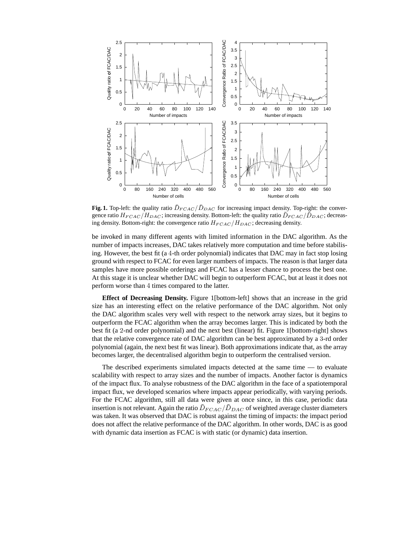

**Fig. 1.** Top-left: the quality ratio  $\bar{D}_{FCAC}/\bar{D}_{DAC}$  for increasing impact density. Top-right: the convergence ratio  $H_{FCAC}/H_{DAC}$ ; increasing density. Bottom-left: the quality ratio  $D_{FCAC}/D_{DAC}$ ; decreasing density. Bottom-right: the convergence ratio  $H_{FCAC}/H_{DAC}$ ; decreasing density.

be invoked in many different agents with limited information in the DAC algorithm. As the number of impacts increases, DAC takes relatively more computation and time before stabilising. However, the best fit (a 4-th order polynomial) indicates that DAC may in fact stop losing ground with respect to FCAC for even larger numbers of impacts. The reason is that larger data samples have more possible orderings and FCAC has a lesser chance to process the best one. At this stage it is unclear whether DAC will begin to outperform FCAC, but at least it does not perform worse than 4 times compared to the latter.

**Effect of Decreasing Density.** Figure 1[bottom-left] shows that an increase in the grid size has an interesting effect on the relative performance of the DAC algorithm. Not only the DAC algorithm scales very well with respect to the network array sizes, but it begins to outperform the FCAC algorithm when the array becomes larger. This is indicated by both the best fit (a 2-nd order polynomial) and the next best (linear) fit. Figure 1[bottom-right] shows that the relative convergence rate of DAC algorithm can be best approximated by a 3-rd order polynomial (again, the next best fit was linear). Both approximations indicate that, as the array becomes larger, the decentralised algorithm begin to outperform the centralised version.

The described experiments simulated impacts detected at the same time — to evaluate scalability with respect to array sizes and the number of impacts. Another factor is dynamics of the impact flux. To analyse robustness of the DAC algorithm in the face of a spatiotemporal impact flux, we developed scenarios where impacts appear periodically, with varying periods. For the FCAC algorithm, still all data were given at once since, in this case, periodic data insertion is not relevant. Again the ratio  $\bar{D}_{FCAC}/\bar{D}_{DAC}$  of weighted average cluster diameters was taken. It was observed that DAC is robust against the timing of impacts: the impact period does not affect the relative performance of the DAC algorithm. In other words, DAC is as good with dynamic data insertion as FCAC is with static (or dynamic) data insertion.